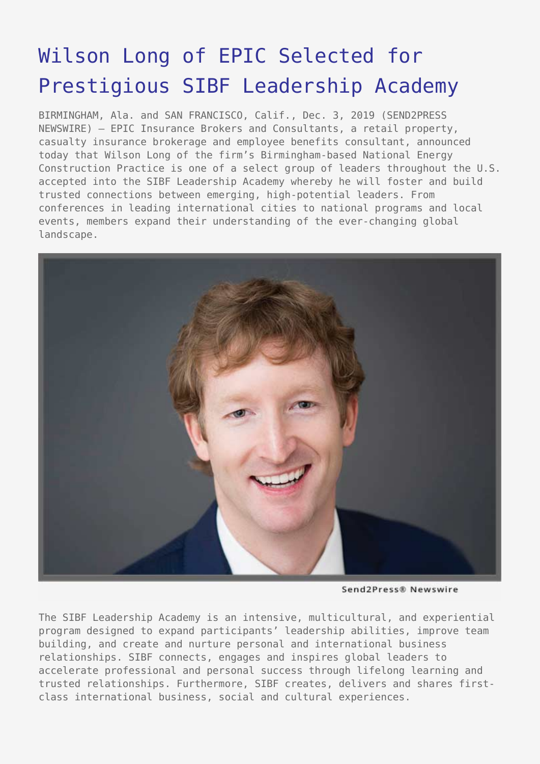## [Wilson Long of EPIC Selected for](https://www.send2press.com/wire/wilson-long-of-epic-selected-for-prestigious-sibf-leadership-academy/) [Prestigious SIBF Leadership Academy](https://www.send2press.com/wire/wilson-long-of-epic-selected-for-prestigious-sibf-leadership-academy/)

BIRMINGHAM, Ala. and SAN FRANCISCO, Calif., Dec. 3, 2019 (SEND2PRESS NEWSWIRE) — EPIC Insurance Brokers and Consultants, a retail property, casualty insurance brokerage and employee benefits consultant, announced today that Wilson Long of the firm's Birmingham-based National Energy Construction Practice is one of a select group of leaders throughout the U.S. accepted into the SIBF Leadership Academy whereby he will foster and build trusted connections between emerging, high-potential leaders. From conferences in leading international cities to national programs and local events, members expand their understanding of the ever-changing global landscape.



Send2Press® Newswire

The SIBF Leadership Academy is an intensive, multicultural, and experiential program designed to expand participants' leadership abilities, improve team building, and create and nurture personal and international business relationships. SIBF connects, engages and inspires global leaders to accelerate professional and personal success through lifelong learning and trusted relationships. Furthermore, SIBF creates, delivers and shares firstclass international business, social and cultural experiences.